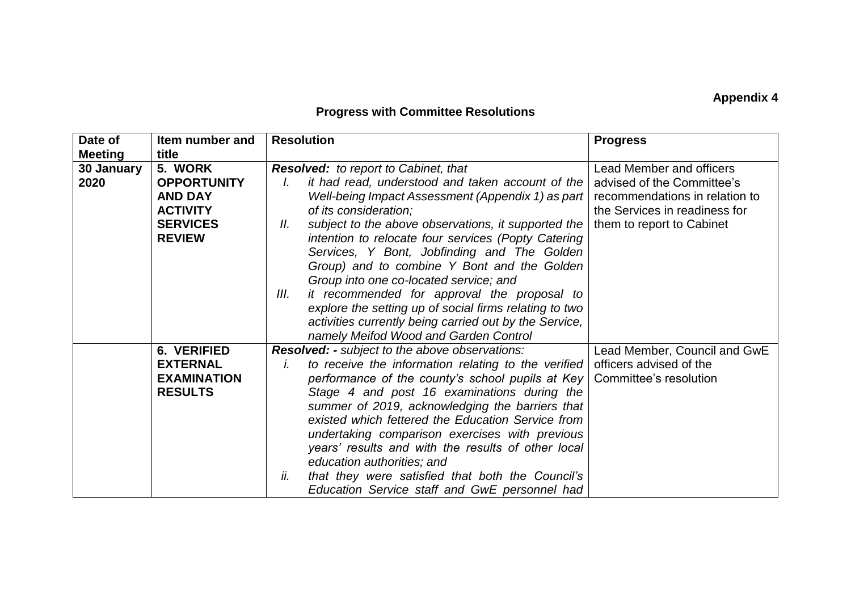## **Appendix 4**

## **Progress with Committee Resolutions**

| Date of<br><b>Meeting</b> | Item number and<br>title                                                                               | <b>Resolution</b>                                                                                                                                                                                                                                                                                                                                                                                                                                                                                                                                                                                                                                      | <b>Progress</b>                                                                                                                                               |
|---------------------------|--------------------------------------------------------------------------------------------------------|--------------------------------------------------------------------------------------------------------------------------------------------------------------------------------------------------------------------------------------------------------------------------------------------------------------------------------------------------------------------------------------------------------------------------------------------------------------------------------------------------------------------------------------------------------------------------------------------------------------------------------------------------------|---------------------------------------------------------------------------------------------------------------------------------------------------------------|
| 30 January<br>2020        | 5. WORK<br><b>OPPORTUNITY</b><br><b>AND DAY</b><br><b>ACTIVITY</b><br><b>SERVICES</b><br><b>REVIEW</b> | Resolved: to report to Cabinet, that<br>it had read, understood and taken account of the<br>Well-being Impact Assessment (Appendix 1) as part  <br>of its consideration;<br>subject to the above observations, it supported the<br>Ш.<br>intention to relocate four services (Popty Catering<br>Services, Y Bont, Jobfinding and The Golden<br>Group) and to combine Y Bont and the Golden<br>Group into one co-located service; and<br>it recommended for approval the proposal to<br>Ш.<br>explore the setting up of social firms relating to two<br>activities currently being carried out by the Service,<br>namely Meifod Wood and Garden Control | <b>Lead Member and officers</b><br>advised of the Committee's<br>recommendations in relation to<br>the Services in readiness for<br>them to report to Cabinet |
|                           | 6. VERIFIED<br><b>EXTERNAL</b><br><b>EXAMINATION</b><br><b>RESULTS</b>                                 | Resolved: - subject to the above observations:<br>to receive the information relating to the verified<br>Ĭ.<br>performance of the county's school pupils at Key<br>Stage 4 and post 16 examinations during the<br>summer of 2019, acknowledging the barriers that<br>existed which fettered the Education Service from<br>undertaking comparison exercises with previous<br>years' results and with the results of other local<br>education authorities; and<br>ii.<br>that they were satisfied that both the Council's<br>Education Service staff and GwE personnel had                                                                               | Lead Member, Council and GwE<br>officers advised of the<br>Committee's resolution                                                                             |